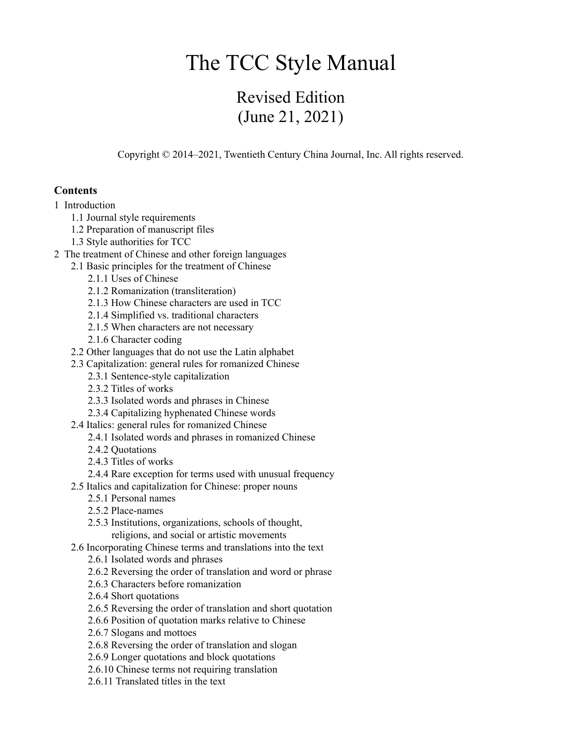# The TCC Style Manual

# Revised Edition (June 21, 2021)

Copyright © 2014–2021, Twentieth Century China Journal, Inc. All rights reserved.

# **Contents**

- 1 Introduction
	- 1.1 Journal style requirements
	- 1.2 Preparation of manuscript files
	- 1.3 Style authorities for TCC
- 2 The treatment of Chinese and other foreign languages
	- 2.1 Basic principles for the treatment of Chinese
		- 2.1.1 Uses of Chinese
		- 2.1.2 Romanization (transliteration)
		- 2.1.3 How Chinese characters are used in TCC
		- 2.1.4 Simplified vs. traditional characters
		- 2.1.5 When characters are not necessary
		- 2.1.6 Character coding
	- 2.2 Other languages that do not use the Latin alphabet
	- 2.3 Capitalization: general rules for romanized Chinese
		- 2.3.1 Sentence-style capitalization
		- 2.3.2 Titles of works
		- 2.3.3 Isolated words and phrases in Chinese
		- 2.3.4 Capitalizing hyphenated Chinese words
	- 2.4 Italics: general rules for romanized Chinese
		- 2.4.1 Isolated words and phrases in romanized Chinese
		- 2.4.2 Quotations
		- 2.4.3 Titles of works
		- 2.4.4 Rare exception for terms used with unusual frequency
	- 2.5 Italics and capitalization for Chinese: proper nouns
		- 2.5.1 Personal names
		- 2.5.2 Place-names
		- 2.5.3 Institutions, organizations, schools of thought, religions, and social or artistic movements
	- 2.6 Incorporating Chinese terms and translations into the text
		- 2.6.1 Isolated words and phrases
		- 2.6.2 Reversing the order of translation and word or phrase
		- 2.6.3 Characters before romanization
		- 2.6.4 Short quotations
		- 2.6.5 Reversing the order of translation and short quotation
		- 2.6.6 Position of quotation marks relative to Chinese
		- 2.6.7 Slogans and mottoes
		- 2.6.8 Reversing the order of translation and slogan
		- 2.6.9 Longer quotations and block quotations
		- 2.6.10 Chinese terms not requiring translation
		- 2.6.11 Translated titles in the text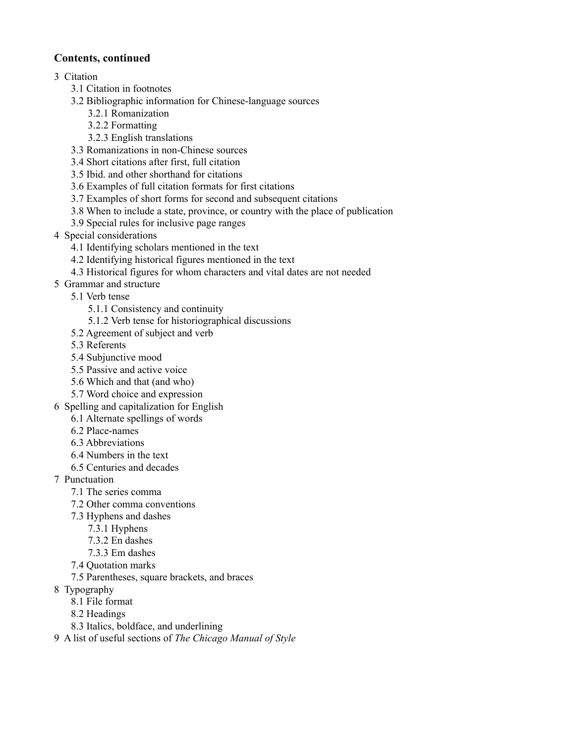# **Contents, continued**

# 3 Citation

- 3.1 Citation in footnotes
- 3.2 Bibliographic information for Chinese-language sources
	- 3.2.1 Romanization
	- 3.2.2 Formatting
	- 3.2.3 English translations
- 3.3 Romanizations in non-Chinese sources
- 3.4 Short citations after first, full citation
- 3.5 Ibid. and other shorthand for citations
- 3.6 Examples of full citation formats for first citations
- 3.7 Examples of short forms for second and subsequent citations
- 3.8 When to include a state, province, or country with the place of publication
- 3.9 Special rules for inclusive page ranges
- 4 Special considerations
	- 4.1 Identifying scholars mentioned in the text
	- 4.2 Identifying historical figures mentioned in the text
	- 4.3 Historical figures for whom characters and vital dates are not needed
- 5 Grammar and structure
	- 5.1 Verb tense
		- 5.1.1 Consistency and continuity
		- 5.1.2 Verb tense for historiographical discussions
	- 5.2 Agreement of subject and verb
	- 5.3 Referents
	- 5.4 Subjunctive mood
	- 5.5 Passive and active voice
	- 5.6 Which and that (and who)
	- 5.7 Word choice and expression
- 6 Spelling and capitalization for English
	- 6.1 Alternate spellings of words
	- 6.2 Place-names
	- 6.3 Abbreviations
	- 6.4 Numbers in the text
	- 6.5 Centuries and decades
- 7 Punctuation
	- 7.1 The series comma
	- 7.2 Other comma conventions
	- 7.3 Hyphens and dashes
		- 7.3.1 Hyphens
		- 7.3.2 En dashes
		- 7.3.3 Em dashes
	- 7.4 Quotation marks
	- 7.5 Parentheses, square brackets, and braces
- 8 Typography
	- 8.1 File format
	- 8.2 Headings
	- 8.3 Italics, boldface, and underlining
- 9 A list of useful sections of *The Chicago Manual of Style*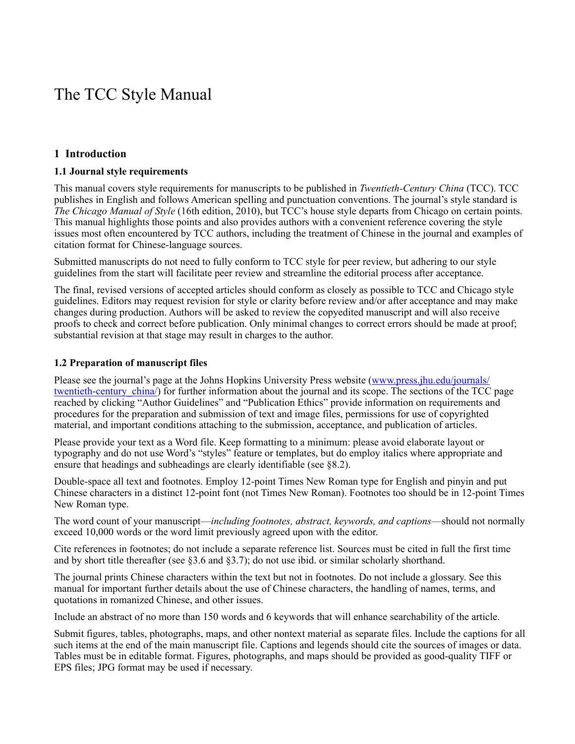# The TCC Style Manual

# **1 Introduction**

#### **1.1 Journal style requirements**

This manual covers style requirements for manuscripts to be published in *Twentieth-Century China* (TCC). TCC publishes in English and follows American spelling and punctuation conventions. The journal's style standard is *The Chicago Manual of Style* (16th edition, 2010), but TCC's house style departs from Chicago on certain points. This manual highlights those points and also provides authors with a convenient reference covering the style issues most often encountered by TCC authors, including the treatment of Chinese in the journal and examples of citation format for Chinese-language sources.

Submitted manuscripts do not need to fully conform to TCC style for peer review, but adhering to our style guidelines from the start will facilitate peer review and streamline the editorial process after acceptance.

The final, revised versions of accepted articles should conform as closely as possible to TCC and Chicago style guidelines. Editors may request revision for style or clarity before review and/or after acceptance and may make changes during production. Authors will be asked to review the copyedited manuscript and will also receive proofs to check and correct before publication. Only minimal changes to correct errors should be made at proof; substantial revision at that stage may result in charges to the author.

#### **1.2 Preparation of manuscript files**

Please see the journal's page at the Johns Hopkins University Press website [\(www.press.jhu.edu/journals/](http://www.press.jhu.edu/journals/twentieth-century_china/) twentieth-century china/) for further information about the journal and its scope. The sections of the TCC page reached by clicking "Author Guidelines" and "Publication Ethics" provide information on requirements and procedures for the preparation and submission of text and image files, permissions for use of copyrighted material, and important conditions attaching to the submission, acceptance, and publication of articles.

Please provide your text as a Word file. Keep formatting to a minimum: please avoid elaborate layout or typography and do not use Word's "styles" feature or templates, but do employ italics where appropriate and ensure that headings and subheadings are clearly identifiable (see §8.2).

Double-space all text and footnotes. Employ 12-point Times New Roman type for English and pinyin and put Chinese characters in a distinct 12-point font (not Times New Roman). Footnotes too should be in 12-point Times New Roman type.

The word count of your manuscript—*including footnotes, abstract, keywords, and captions*—should not normally exceed 10,000 words or the word limit previously agreed upon with the editor.

Cite references in footnotes; do not include a separate reference list. Sources must be cited in full the first time and by short title thereafter (see §3.6 and §3.7); do not use ibid. or similar scholarly shorthand.

The journal prints Chinese characters within the text but not in footnotes. Do not include a glossary. See this manual for important further details about the use of Chinese characters, the handling of names, terms, and quotations in romanized Chinese, and other issues.

Include an abstract of no more than 150 words and 6 keywords that will enhance searchability of the article.

Submit figures, tables, photographs, maps, and other nontext material as separate files. Include the captions for all such items at the end of the main manuscript file. Captions and legends should cite the sources of images or data. Tables must be in editable format. Figures, photographs, and maps should be provided as good-quality TIFF or EPS files; JPG format may be used if necessary.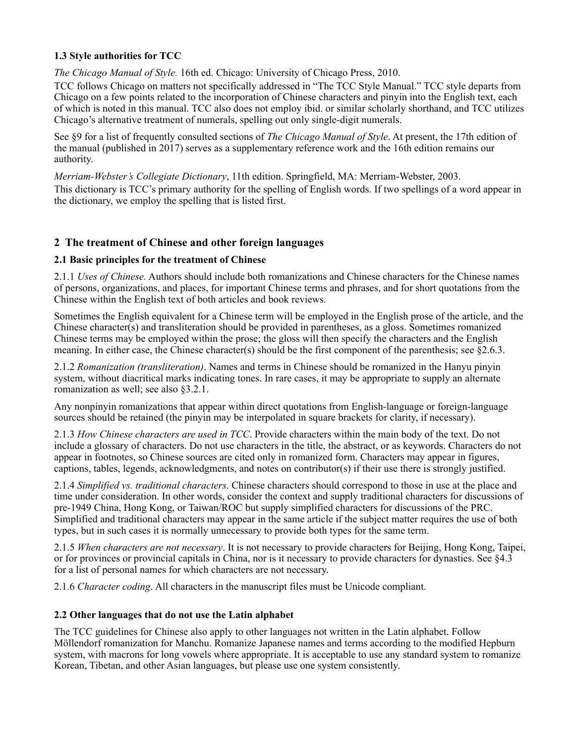# **1.3 Style authorities for TCC**

*The Chicago Manual of Style.* 16th ed. Chicago: University of Chicago Press, 2010.

TCC follows Chicago on matters not specifically addressed in "The TCC Style Manual." TCC style departs from Chicago on a few points related to the incorporation of Chinese characters and pinyin into the English text, each of which is noted in this manual. TCC also does not employ ibid. or similar scholarly shorthand, and TCC utilizes Chicago's alternative treatment of numerals, spelling out only single-digit numerals.

See §9 for a list of frequently consulted sections of *The Chicago Manual of Style*. At present, the 17th edition of the manual (published in 2017) serves as a supplementary reference work and the 16th edition remains our authority.

*Merriam-Webster's Collegiate Dictionary*, 11th edition. Springfield, MA: Merriam-Webster, 2003.

This dictionary is TCC's primary authority for the spelling of English words. If two spellings of a word appear in the dictionary, we employ the spelling that is listed first.

# **2 The treatment of Chinese and other foreign languages**

# **2.1 Basic principles for the treatment of Chinese**

2.1.1 *Uses of Chinese.* Authors should include both romanizations and Chinese characters for the Chinese names of persons, organizations, and places, for important Chinese terms and phrases, and for short quotations from the Chinese within the English text of both articles and book reviews.

Sometimes the English equivalent for a Chinese term will be employed in the English prose of the article, and the Chinese character(s) and transliteration should be provided in parentheses, as a gloss. Sometimes romanized Chinese terms may be employed within the prose; the gloss will then specify the characters and the English meaning. In either case, the Chinese character(s) should be the first component of the parenthesis; see §2.6.3.

2.1.2 *Romanization (transliteration)*. Names and terms in Chinese should be romanized in the Hanyu pinyin system, without diacritical marks indicating tones. In rare cases, it may be appropriate to supply an alternate romanization as well; see also §3.2.1.

Any nonpinyin romanizations that appear within direct quotations from English-language or foreign-language sources should be retained (the pinyin may be interpolated in square brackets for clarity, if necessary).

2.1.3 *How Chinese characters are used in TCC*. Provide characters within the main body of the text. Do not include a glossary of characters. Do not use characters in the title, the abstract, or as keywords. Characters do not appear in footnotes, so Chinese sources are cited only in romanized form. Characters may appear in figures, captions, tables, legends, acknowledgments, and notes on contributor(s) if their use there is strongly justified.

2.1.4 *Simplified vs. traditional characters*. Chinese characters should correspond to those in use at the place and time under consideration. In other words, consider the context and supply traditional characters for discussions of pre-1949 China, Hong Kong, or Taiwan/ROC but supply simplified characters for discussions of the PRC. Simplified and traditional characters may appear in the same article if the subject matter requires the use of both types, but in such cases it is normally unnecessary to provide both types for the same term.

2.1.5 *When characters are not necessary*. It is not necessary to provide characters for Beijing, Hong Kong, Taipei, or for provinces or provincial capitals in China, nor is it necessary to provide characters for dynasties. See §4.3 for a list of personal names for which characters are not necessary.

2.1.6 *Character coding*. All characters in the manuscript files must be Unicode compliant.

# **2.2 Other languages that do not use the Latin alphabet**

The TCC guidelines for Chinese also apply to other languages not written in the Latin alphabet. Follow Möllendorf romanization for Manchu. Romanize Japanese names and terms according to the modified Hepburn system, with macrons for long vowels where appropriate. It is acceptable to use any standard system to romanize Korean, Tibetan, and other Asian languages, but please use one system consistently.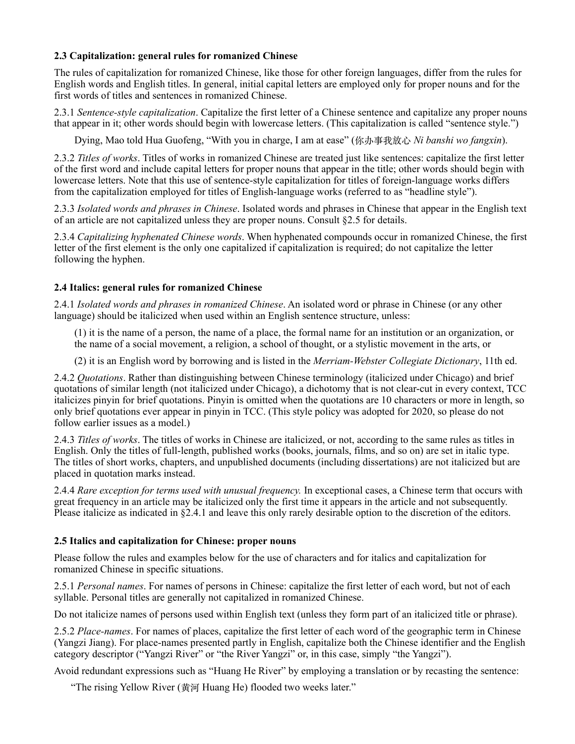## **2.3 Capitalization: general rules for romanized Chinese**

The rules of capitalization for romanized Chinese, like those for other foreign languages, differ from the rules for English words and English titles. In general, initial capital letters are employed only for proper nouns and for the first words of titles and sentences in romanized Chinese.

2.3.1 *Sentence-style capitalization*. Capitalize the first letter of a Chinese sentence and capitalize any proper nouns that appear in it; other words should begin with lowercase letters. (This capitalization is called "sentence style.")

Dying, Mao told Hua Guofeng, "With you in charge, I am at ease" (你办事我放⼼ *Ni banshi wo fangxin*).

2.3.2 *Titles of works*. Titles of works in romanized Chinese are treated just like sentences: capitalize the first letter of the first word and include capital letters for proper nouns that appear in the title; other words should begin with lowercase letters. Note that this use of sentence-style capitalization for titles of foreign-language works differs from the capitalization employed for titles of English-language works (referred to as "headline style").

2.3.3 *Isolated words and phrases in Chinese*. Isolated words and phrases in Chinese that appear in the English text of an article are not capitalized unless they are proper nouns. Consult §2.5 for details.

2.3.4 *Capitalizing hyphenated Chinese words*. When hyphenated compounds occur in romanized Chinese, the first letter of the first element is the only one capitalized if capitalization is required; do not capitalize the letter following the hyphen.

# **2.4 Italics: general rules for romanized Chinese**

2.4.1 *Isolated words and phrases in romanized Chinese*. An isolated word or phrase in Chinese (or any other language) should be italicized when used within an English sentence structure, unless:

(1) it is the name of a person, the name of a place, the formal name for an institution or an organization, or the name of a social movement, a religion, a school of thought, or a stylistic movement in the arts, or

(2) it is an English word by borrowing and is listed in the *Merriam-Webster Collegiate Dictionary*, 11th ed.

2.4.2 *Quotations*. Rather than distinguishing between Chinese terminology (italicized under Chicago) and brief quotations of similar length (not italicized under Chicago), a dichotomy that is not clear-cut in every context, TCC italicizes pinyin for brief quotations. Pinyin is omitted when the quotations are 10 characters or more in length, so only brief quotations ever appear in pinyin in TCC. (This style policy was adopted for 2020, so please do not follow earlier issues as a model.)

2.4.3 *Titles of works*. The titles of works in Chinese are italicized, or not, according to the same rules as titles in English. Only the titles of full-length, published works (books, journals, films, and so on) are set in italic type. The titles of short works, chapters, and unpublished documents (including dissertations) are not italicized but are placed in quotation marks instead.

2.4.4 *Rare exception for terms used with unusual frequency.* In exceptional cases, a Chinese term that occurs with great frequency in an article may be italicized only the first time it appears in the article and not subsequently. Please italicize as indicated in §2.4.1 and leave this only rarely desirable option to the discretion of the editors.

## **2.5 Italics and capitalization for Chinese: proper nouns**

Please follow the rules and examples below for the use of characters and for italics and capitalization for romanized Chinese in specific situations.

2.5.1 *Personal names*. For names of persons in Chinese: capitalize the first letter of each word, but not of each syllable. Personal titles are generally not capitalized in romanized Chinese.

Do not italicize names of persons used within English text (unless they form part of an italicized title or phrase).

2.5.2 *Place-names*. For names of places, capitalize the first letter of each word of the geographic term in Chinese (Yangzi Jiang). For place-names presented partly in English, capitalize both the Chinese identifier and the English category descriptor ("Yangzi River" or "the River Yangzi" or, in this case, simply "the Yangzi").

Avoid redundant expressions such as "Huang He River" by employing a translation or by recasting the sentence:

"The rising Yellow River (黄河 Huang He) flooded two weeks later."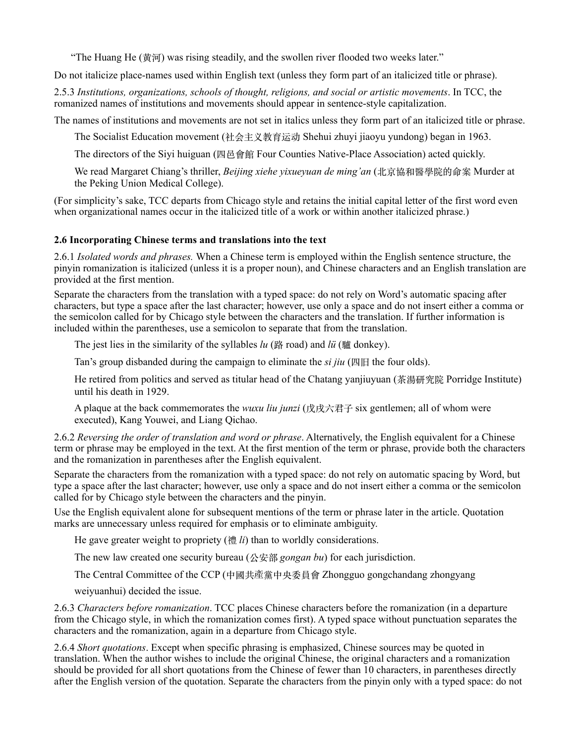"The Huang He (黄河) was rising steadily, and the swollen river flooded two weeks later."

Do not italicize place-names used within English text (unless they form part of an italicized title or phrase).

2.5.3 *Institutions, organizations, schools of thought, religions, and social or artistic movements*. In TCC, the romanized names of institutions and movements should appear in sentence-style capitalization.

The names of institutions and movements are not set in italics unless they form part of an italicized title or phrase.

The Socialist Education movement (社会主义教育运动 Shehui zhuyi jiaoyu yundong) began in 1963.

The directors of the Siyi huiguan (四⾢會館 Four Counties Native-Place Association) acted quickly.

We read Margaret Chiang's thriller, *Beijing xiehe yixueyuan de ming'an* (北京協和醫學院的命案 Murder at the Peking Union Medical College).

(For simplicity's sake, TCC departs from Chicago style and retains the initial capital letter of the first word even when organizational names occur in the italicized title of a work or within another italicized phrase.)

## **2.6 Incorporating Chinese terms and translations into the text**

2.6.1 *Isolated words and phrases.* When a Chinese term is employed within the English sentence structure, the pinyin romanization is italicized (unless it is a proper noun), and Chinese characters and an English translation are provided at the first mention.

Separate the characters from the translation with a typed space: do not rely on Word's automatic spacing after characters, but type a space after the last character; however, use only a space and do not insert either a comma or the semicolon called for by Chicago style between the characters and the translation. If further information is included within the parentheses, use a semicolon to separate that from the translation.

The jest lies in the similarity of the syllables *lu* (路 road) and *lü* (驢 donkey).

Tan's group disbanded during the campaign to eliminate the *si jiu* (四旧 the four olds).

He retired from politics and served as titular head of the Chatang yanjiuyuan (茶湯研究院 Porridge Institute) until his death in 1929.

A plaque at the back commemorates the *wuxu liu junzi* (戊戌六君子 six gentlemen; all of whom were executed), Kang Youwei, and Liang Qichao.

2.6.2 *Reversing the order of translation and word or phrase*. Alternatively, the English equivalent for a Chinese term or phrase may be employed in the text. At the first mention of the term or phrase, provide both the characters and the romanization in parentheses after the English equivalent.

Separate the characters from the romanization with a typed space: do not rely on automatic spacing by Word, but type a space after the last character; however, use only a space and do not insert either a comma or the semicolon called for by Chicago style between the characters and the pinyin.

Use the English equivalent alone for subsequent mentions of the term or phrase later in the article. Quotation marks are unnecessary unless required for emphasis or to eliminate ambiguity.

He gave greater weight to propriety (禮 *li*) than to worldly considerations.

The new law created one security bureau (公安部 *gongan bu*) for each jurisdiction.

The Central Committee of the CCP (中國共產黨中央委員會 Zhongguo gongchandang zhongyang

weiyuanhui) decided the issue.

2.6.3 *Characters before romanization*. TCC places Chinese characters before the romanization (in a departure from the Chicago style, in which the romanization comes first). A typed space without punctuation separates the characters and the romanization, again in a departure from Chicago style.

2.6.4 *Short quotations*. Except when specific phrasing is emphasized, Chinese sources may be quoted in translation. When the author wishes to include the original Chinese, the original characters and a romanization should be provided for all short quotations from the Chinese of fewer than 10 characters, in parentheses directly after the English version of the quotation. Separate the characters from the pinyin only with a typed space: do not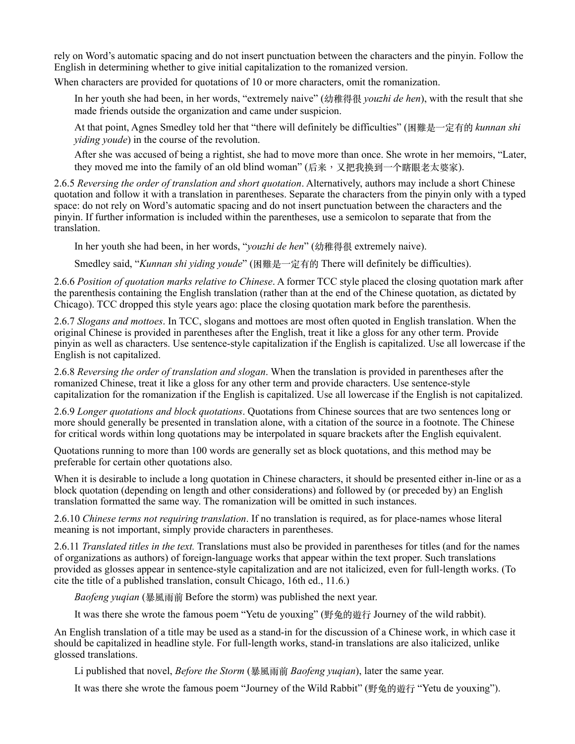rely on Word's automatic spacing and do not insert punctuation between the characters and the pinyin. Follow the English in determining whether to give initial capitalization to the romanized version.

When characters are provided for quotations of 10 or more characters, omit the romanization.

In her youth she had been, in her words, "extremely naive" (幼稚得很 *youzhi de hen*), with the result that she made friends outside the organization and came under suspicion.

At that point, Agnes Smedley told her that "there will definitely be difficulties" (困難是⼀定有的 *kunnan shi yiding youde*) in the course of the revolution.

After she was accused of being a rightist, she had to move more than once. She wrote in her memoirs, "Later, they moved me into the family of an old blind woman" (后来,又把我换到一个瞎眼老太婆家).

2.6.5 *Reversing the order of translation and short quotation*. Alternatively, authors may include a short Chinese quotation and follow it with a translation in parentheses. Separate the characters from the pinyin only with a typed space: do not rely on Word's automatic spacing and do not insert punctuation between the characters and the pinyin. If further information is included within the parentheses, use a semicolon to separate that from the translation.

In her youth she had been, in her words, "*youzhi de hen*" (幼稚得很 extremely naive).

Smedley said, "*Kunnan shi yiding youde*" (困難是⼀定有的 There will definitely be difficulties).

2.6.6 *Position of quotation marks relative to Chinese*. A former TCC style placed the closing quotation mark after the parenthesis containing the English translation (rather than at the end of the Chinese quotation, as dictated by Chicago). TCC dropped this style years ago: place the closing quotation mark before the parenthesis.

2.6.7 *Slogans and mottoes*. In TCC, slogans and mottoes are most often quoted in English translation. When the original Chinese is provided in parentheses after the English, treat it like a gloss for any other term. Provide pinyin as well as characters. Use sentence-style capitalization if the English is capitalized. Use all lowercase if the English is not capitalized.

2.6.8 *Reversing the order of translation and slogan*. When the translation is provided in parentheses after the romanized Chinese, treat it like a gloss for any other term and provide characters. Use sentence-style capitalization for the romanization if the English is capitalized. Use all lowercase if the English is not capitalized.

2.6.9 *Longer quotations and block quotations*. Quotations from Chinese sources that are two sentences long or more should generally be presented in translation alone, with a citation of the source in a footnote. The Chinese for critical words within long quotations may be interpolated in square brackets after the English equivalent.

Quotations running to more than 100 words are generally set as block quotations, and this method may be preferable for certain other quotations also.

When it is desirable to include a long quotation in Chinese characters, it should be presented either in-line or as a block quotation (depending on length and other considerations) and followed by (or preceded by) an English translation formatted the same way. The romanization will be omitted in such instances.

2.6.10 *Chinese terms not requiring translation*. If no translation is required, as for place-names whose literal meaning is not important, simply provide characters in parentheses.

2.6.11 *Translated titles in the text.* Translations must also be provided in parentheses for titles (and for the names of organizations as authors) of foreign-language works that appear within the text proper. Such translations provided as glosses appear in sentence-style capitalization and are not italicized, even for full-length works. (To cite the title of a published translation, consult Chicago, 16th ed., 11.6.)

*Baofeng yuqian* (暴風⾬前 Before the storm) was published the next year.

It was there she wrote the famous poem "Yetu de youxing" (野兔的遊行 Journey of the wild rabbit).

An English translation of a title may be used as a stand-in for the discussion of a Chinese work, in which case it should be capitalized in headline style. For full-length works, stand-in translations are also italicized, unlike glossed translations.

Li published that novel, *Before the Storm* (暴風雨前 *Baofeng yuqian*), later the same year.

It was there she wrote the famous poem "Journey of the Wild Rabbit" (野兔的遊行 "Yetu de youxing").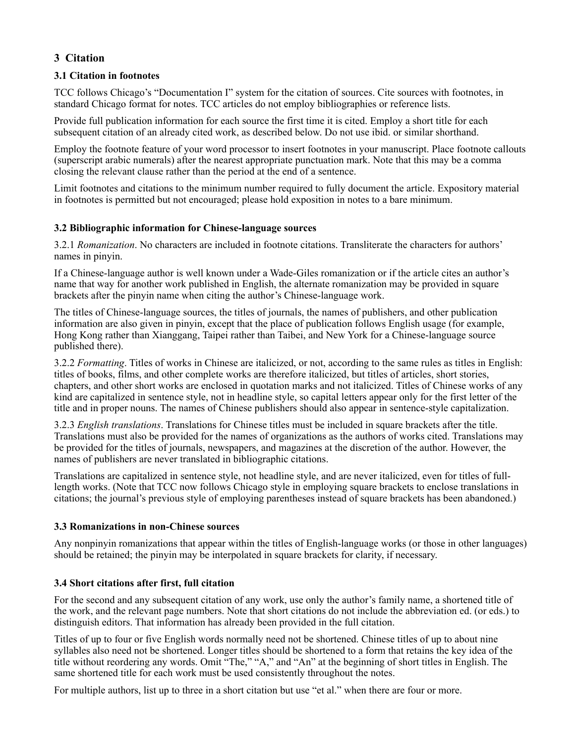# **3 Citation**

# **3.1 Citation in footnotes**

TCC follows Chicago's "Documentation I" system for the citation of sources. Cite sources with footnotes, in standard Chicago format for notes. TCC articles do not employ bibliographies or reference lists.

Provide full publication information for each source the first time it is cited. Employ a short title for each subsequent citation of an already cited work, as described below. Do not use ibid. or similar shorthand.

Employ the footnote feature of your word processor to insert footnotes in your manuscript. Place footnote callouts (superscript arabic numerals) after the nearest appropriate punctuation mark. Note that this may be a comma closing the relevant clause rather than the period at the end of a sentence.

Limit footnotes and citations to the minimum number required to fully document the article. Expository material in footnotes is permitted but not encouraged; please hold exposition in notes to a bare minimum.

# **3.2 Bibliographic information for Chinese-language sources**

3.2.1 *Romanization*. No characters are included in footnote citations. Transliterate the characters for authors' names in pinyin.

If a Chinese-language author is well known under a Wade-Giles romanization or if the article cites an author's name that way for another work published in English, the alternate romanization may be provided in square brackets after the pinyin name when citing the author's Chinese-language work.

The titles of Chinese-language sources, the titles of journals, the names of publishers, and other publication information are also given in pinyin, except that the place of publication follows English usage (for example, Hong Kong rather than Xianggang, Taipei rather than Taibei, and New York for a Chinese-language source published there).

3.2.2 *Formatting*. Titles of works in Chinese are italicized, or not, according to the same rules as titles in English: titles of books, films, and other complete works are therefore italicized, but titles of articles, short stories, chapters, and other short works are enclosed in quotation marks and not italicized. Titles of Chinese works of any kind are capitalized in sentence style, not in headline style, so capital letters appear only for the first letter of the title and in proper nouns. The names of Chinese publishers should also appear in sentence-style capitalization.

3.2.3 *English translations*. Translations for Chinese titles must be included in square brackets after the title. Translations must also be provided for the names of organizations as the authors of works cited. Translations may be provided for the titles of journals, newspapers, and magazines at the discretion of the author. However, the names of publishers are never translated in bibliographic citations.

Translations are capitalized in sentence style, not headline style, and are never italicized, even for titles of fulllength works. (Note that TCC now follows Chicago style in employing square brackets to enclose translations in citations; the journal's previous style of employing parentheses instead of square brackets has been abandoned.)

## **3.3 Romanizations in non-Chinese sources**

Any nonpinyin romanizations that appear within the titles of English-language works (or those in other languages) should be retained; the pinyin may be interpolated in square brackets for clarity, if necessary.

## **3.4 Short citations after first, full citation**

For the second and any subsequent citation of any work, use only the author's family name, a shortened title of the work, and the relevant page numbers. Note that short citations do not include the abbreviation ed. (or eds.) to distinguish editors. That information has already been provided in the full citation.

Titles of up to four or five English words normally need not be shortened. Chinese titles of up to about nine syllables also need not be shortened. Longer titles should be shortened to a form that retains the key idea of the title without reordering any words. Omit "The," "A," and "An" at the beginning of short titles in English. The same shortened title for each work must be used consistently throughout the notes.

For multiple authors, list up to three in a short citation but use "et al." when there are four or more.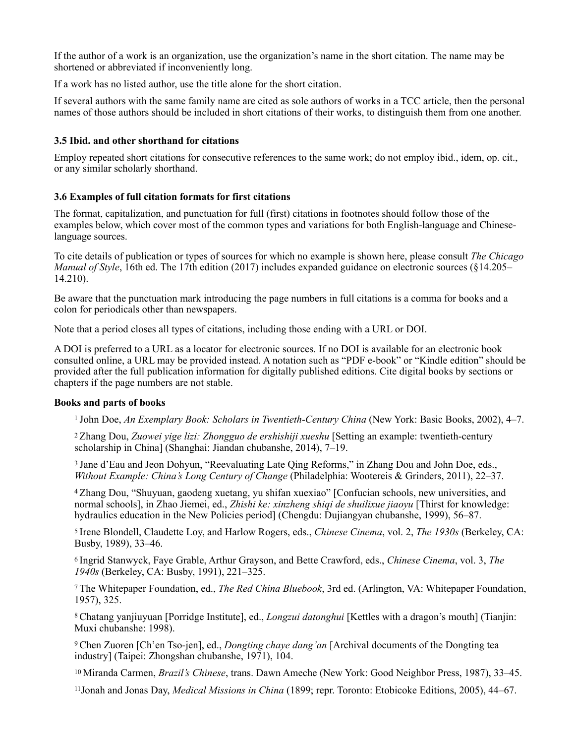If the author of a work is an organization, use the organization's name in the short citation. The name may be shortened or abbreviated if inconveniently long.

If a work has no listed author, use the title alone for the short citation.

If several authors with the same family name are cited as sole authors of works in a TCC article, then the personal names of those authors should be included in short citations of their works, to distinguish them from one another.

# **3.5 Ibid. and other shorthand for citations**

Employ repeated short citations for consecutive references to the same work; do not employ ibid., idem, op. cit., or any similar scholarly shorthand.

# **3.6 Examples of full citation formats for first citations**

The format, capitalization, and punctuation for full (first) citations in footnotes should follow those of the examples below, which cover most of the common types and variations for both English-language and Chineselanguage sources.

To cite details of publication or types of sources for which no example is shown here, please consult *The Chicago Manual of Style*, 16th ed. The 17th edition (2017) includes expanded guidance on electronic sources (§14.205– 14.210).

Be aware that the punctuation mark introducing the page numbers in full citations is a comma for books and a colon for periodicals other than newspapers.

Note that a period closes all types of citations, including those ending with a URL or DOI.

A DOI is preferred to a URL as a locator for electronic sources. If no DOI is available for an electronic book consulted online, a URL may be provided instead. A notation such as "PDF e-book" or "Kindle edition" should be provided after the full publication information for digitally published editions. Cite digital books by sections or chapters if the page numbers are not stable.

## **Books and parts of books**

1 John Doe, *An Exemplary Book: Scholars in Twentieth-Century China* (New York: Basic Books, 2002), 4–7.

2 Zhang Dou, *Zuowei yige lizi: Zhongguo de ershishiji xueshu* [Setting an example: twentieth-century scholarship in China] (Shanghai: Jiandan chubanshe, 2014), 7–19.

3 Jane d'Eau and Jeon Dohyun, "Reevaluating Late Qing Reforms," in Zhang Dou and John Doe, eds., *Without Example: China's Long Century of Change* (Philadelphia: Wootereis & Grinders, 2011), 22–37.

4 Zhang Dou, "Shuyuan, gaodeng xuetang, yu shifan xuexiao" [Confucian schools, new universities, and normal schools], in Zhao Jiemei, ed., *Zhishi ke: xinzheng shiqi de shuilixue jiaoyu* [Thirst for knowledge: hydraulics education in the New Policies period] (Chengdu: Dujiangyan chubanshe, 1999), 56–87.

5 Irene Blondell, Claudette Loy, and Harlow Rogers, eds., *Chinese Cinema*, vol. 2, *The 1930s* (Berkeley, CA: Busby, 1989), 33–46.

6 Ingrid Stanwyck, Faye Grable, Arthur Grayson, and Bette Crawford, eds., *Chinese Cinema*, vol. 3, *The 1940s* (Berkeley, CA: Busby, 1991), 221–325.

7 The Whitepaper Foundation, ed., *The Red China Bluebook*, 3rd ed. (Arlington, VA: Whitepaper Foundation, 1957), 325.

8 Chatang yanjiuyuan [Porridge Institute], ed., *Longzui datonghui* [Kettles with a dragon's mouth] (Tianjin: Muxi chubanshe: 1998).

9 Chen Zuoren [Ch'en Tso-jen], ed., *Dongting chaye dang'an* [Archival documents of the Dongting tea industry] (Taipei: Zhongshan chubanshe, 1971), 104.

10 Miranda Carmen, *Brazil's Chinese*, trans. Dawn Ameche (New York: Good Neighbor Press, 1987), 33–45.

11Jonah and Jonas Day, *Medical Missions in China* (1899; repr. Toronto: Etobicoke Editions, 2005), 44–67.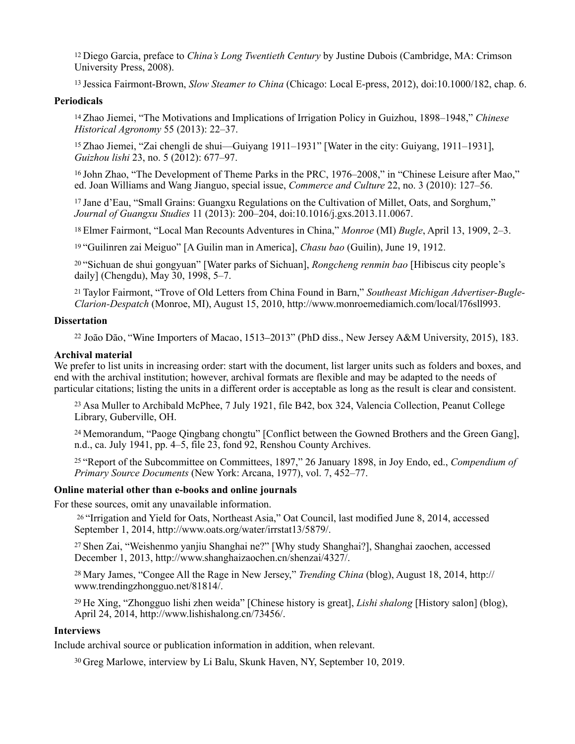12 Diego Garcia, preface to *China's Long Twentieth Century* by Justine Dubois (Cambridge, MA: Crimson University Press, 2008).

13 Jessica Fairmont-Brown, *Slow Steamer to China* (Chicago: Local E-press, 2012), doi:10.1000/182, chap. 6.

#### **Periodicals**

14 Zhao Jiemei, "The Motivations and Implications of Irrigation Policy in Guizhou, 1898–1948," *Chinese Historical Agronomy* 55 (2013): 22–37.

15 Zhao Jiemei, "Zai chengli de shui—Guiyang 1911–1931" [Water in the city: Guiyang, 1911–1931], *Guizhou lishi* 23, no. 5 (2012): 677–97.

16 John Zhao, "The Development of Theme Parks in the PRC, 1976–2008," in "Chinese Leisure after Mao," ed. Joan Williams and Wang Jianguo, special issue, *Commerce and Culture* 22, no. 3 (2010): 127–56.

17 Jane d'Eau, "Small Grains: Guangxu Regulations on the Cultivation of Millet, Oats, and Sorghum," *Journal of Guangxu Studies* 11 (2013): 200–204, doi:10.1016/j.gxs.2013.11.0067.

18 Elmer Fairmont, "Local Man Recounts Adventures in China," *Monroe* (MI) *Bugle*, April 13, 1909, 2–3.

19 "Guilinren zai Meiguo" [A Guilin man in America], *Chasu bao* (Guilin), June 19, 1912.

20 "Sichuan de shui gongyuan" [Water parks of Sichuan], *Rongcheng renmin bao* [Hibiscus city people's daily] (Chengdu), May 30, 1998, 5–7.

21 Taylor Fairmont, "Trove of Old Letters from China Found in Barn," *Southeast Michigan Advertiser-Bugle-Clarion-Despatch* (Monroe, MI), August 15, 2010, http://www.monroemediamich.com/local/l76sll993.

#### **Dissertation**

<sup>22</sup> João Dão, "Wine Importers of Macao, 1513–2013" (PhD diss., New Jersey A&M University, 2015), 183.

#### **Archival material**

We prefer to list units in increasing order: start with the document, list larger units such as folders and boxes, and end with the archival institution; however, archival formats are flexible and may be adapted to the needs of particular citations; listing the units in a different order is acceptable as long as the result is clear and consistent.

23 Asa Muller to Archibald McPhee, 7 July 1921, file B42, box 324, Valencia Collection, Peanut College Library, Guberville, OH.

24 Memorandum, "Paoge Qingbang chongtu" [Conflict between the Gowned Brothers and the Green Gang], n.d., ca. July 1941, pp. 4–5, file 23, fond 92, Renshou County Archives.

25 "Report of the Subcommittee on Committees, 1897," 26 January 1898, in Joy Endo, ed., *Compendium of Primary Source Documents* (New York: Arcana, 1977), vol. 7, 452–77.

#### **Online material other than e-books and online journals**

For these sources, omit any unavailable information.

26 "Irrigation and Yield for Oats, Northeast Asia," Oat Council, last modified June 8, 2014, accessed September 1, 2014, http://www.oats.org/water/irrstat13/5879/.

27 Shen Zai, "Weishenmo yanjiu Shanghai ne?" [Why study Shanghai?], Shanghai zaochen, accessed December 1, 2013, http://www.shanghaizaochen.cn/shenzai/4327/.

28 Mary James, "Congee All the Rage in New Jersey," *Trending China* (blog), August 18, 2014, http:// www.trendingzhongguo.net/81814/.

29 He Xing, "Zhongguo lishi zhen weida" [Chinese history is great], *Lishi shalong* [History salon] (blog), April 24, 2014, http://www.lishishalong.cn/73456/.

#### **Interviews**

Include archival source or publication information in addition, when relevant.

30 Greg Marlowe, interview by Li Balu, Skunk Haven, NY, September 10, 2019.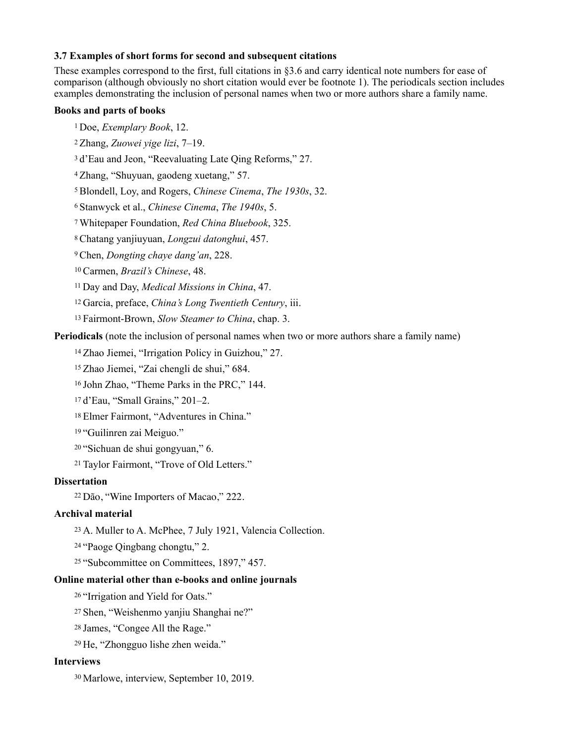#### **3.7 Examples of short forms for second and subsequent citations**

These examples correspond to the first, full citations in §3.6 and carry identical note numbers for ease of comparison (although obviously no short citation would ever be footnote 1). The periodicals section includes examples demonstrating the inclusion of personal names when two or more authors share a family name.

#### **Books and parts of books**

- 1 Doe, *Exemplary Book*, 12.
- 2 Zhang, *Zuowei yige lizi*, 7–19.
- 3 d'Eau and Jeon, "Reevaluating Late Qing Reforms," 27.
- 4 Zhang, "Shuyuan, gaodeng xuetang," 57.
- 5 Blondell, Loy, and Rogers, *Chinese Cinema*, *The 1930s*, 32.
- 6 Stanwyck et al., *Chinese Cinema*, *The 1940s*, 5.
- 7 Whitepaper Foundation, *Red China Bluebook*, 325.
- 8 Chatang yanjiuyuan, *Longzui datonghui*, 457.
- 9 Chen, *Dongting chaye dang'an*, 228.
- 10 Carmen, *Brazil's Chinese*, 48.
- 11 Day and Day, *Medical Missions in China*, 47.
- 12 Garcia, preface, *China's Long Twentieth Century*, iii.
- 13 Fairmont-Brown, *Slow Steamer to China*, chap. 3.

## **Periodicals** (note the inclusion of personal names when two or more authors share a family name)

- 14 Zhao Jiemei, "Irrigation Policy in Guizhou," 27.
- 15 Zhao Jiemei, "Zai chengli de shui," 684.
- 16 John Zhao, "Theme Parks in the PRC," 144.
- 17 d'Eau, "Small Grains," 201–2.
- 18 Elmer Fairmont, "Adventures in China."
- 19 "Guilinren zai Meiguo."
- 20 "Sichuan de shui gongyuan," 6.
- 21 Taylor Fairmont, "Trove of Old Letters."

#### **Dissertation**

<sup>22</sup>Dão, "Wine Importers of Macao," 222.

#### **Archival material**

- 23 A. Muller to A. McPhee, 7 July 1921, Valencia Collection.
- 24 "Paoge Qingbang chongtu," 2.
- 25 "Subcommittee on Committees, 1897," 457.

# **Online material other than e-books and online journals**

- 26 "Irrigation and Yield for Oats."
- 27 Shen, "Weishenmo yanjiu Shanghai ne?"
- 28 James, "Congee All the Rage."
- 29 He, "Zhongguo lishe zhen weida."

## **Interviews**

30 Marlowe, interview, September 10, 2019.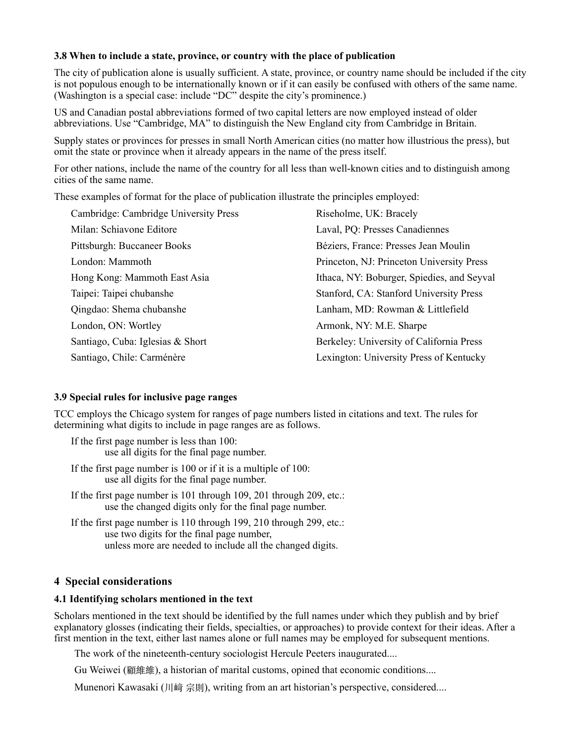#### **3.8 When to include a state, province, or country with the place of publication**

The city of publication alone is usually sufficient. A state, province, or country name should be included if the city is not populous enough to be internationally known or if it can easily be confused with others of the same name. (Washington is a special case: include "DC" despite the city's prominence.)

US and Canadian postal abbreviations formed of two capital letters are now employed instead of older abbreviations. Use "Cambridge, MA" to distinguish the New England city from Cambridge in Britain.

Supply states or provinces for presses in small North American cities (no matter how illustrious the press), but omit the state or province when it already appears in the name of the press itself.

For other nations, include the name of the country for all less than well-known cities and to distinguish among cities of the same name.

These examples of format for the place of publication illustrate the principles employed:

| Cambridge: Cambridge University Press | Riseholme, UK: Bracely                     |
|---------------------------------------|--------------------------------------------|
| Milan: Schiavone Editore              | Laval, PQ: Presses Canadiennes             |
| Pittsburgh: Buccaneer Books           | Béziers, France: Presses Jean Moulin       |
| London: Mammoth                       | Princeton, NJ: Princeton University Press  |
| Hong Kong: Mammoth East Asia          | Ithaca, NY: Boburger, Spiedies, and Seyval |
| Taipei: Taipei chubanshe              | Stanford, CA: Stanford University Press    |
| Qingdao: Shema chubanshe              | Lanham, MD: Rowman & Littlefield           |
| London, ON: Wortley                   | Armonk, NY: M.E. Sharpe                    |
| Santiago, Cuba: Iglesias & Short      | Berkeley: University of California Press   |
| Santiago, Chile: Carménère            | Lexington: University Press of Kentucky    |
|                                       |                                            |

#### **3.9 Special rules for inclusive page ranges**

TCC employs the Chicago system for ranges of page numbers listed in citations and text. The rules for determining what digits to include in page ranges are as follows.

If the first page number is less than 100: use all digits for the final page number.

- If the first page number is 100 or if it is a multiple of 100: use all digits for the final page number.
- If the first page number is 101 through 109, 201 through 209, etc.: use the changed digits only for the final page number.

If the first page number is 110 through 199, 210 through 299, etc.: use two digits for the final page number, unless more are needed to include all the changed digits.

## **4 Special considerations**

# **4.1 Identifying scholars mentioned in the text**

Scholars mentioned in the text should be identified by the full names under which they publish and by brief explanatory glosses (indicating their fields, specialties, or approaches) to provide context for their ideas. After a first mention in the text, either last names alone or full names may be employed for subsequent mentions.

The work of the nineteenth-century sociologist Hercule Peeters inaugurated....

Gu Weiwei (顧維維), a historian of marital customs, opined that economic conditions....

Munenori Kawasaki (川﨑 宗則), writing from an art historian's perspective, considered....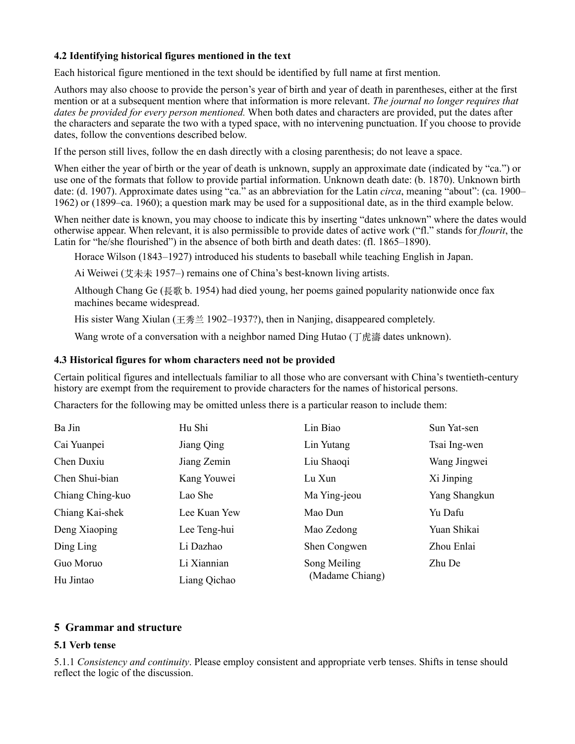### **4.2 Identifying historical figures mentioned in the text**

Each historical figure mentioned in the text should be identified by full name at first mention.

Authors may also choose to provide the person's year of birth and year of death in parentheses, either at the first mention or at a subsequent mention where that information is more relevant. *The journal no longer requires that dates be provided for every person mentioned.* When both dates and characters are provided, put the dates after the characters and separate the two with a typed space, with no intervening punctuation. If you choose to provide dates, follow the conventions described below.

If the person still lives, follow the en dash directly with a closing parenthesis; do not leave a space.

When either the year of birth or the year of death is unknown, supply an approximate date (indicated by "ca.") or use one of the formats that follow to provide partial information. Unknown death date: (b. 1870). Unknown birth date: (d. 1907). Approximate dates using "ca." as an abbreviation for the Latin *circa*, meaning "about": (ca. 1900– 1962) or (1899–ca. 1960); a question mark may be used for a suppositional date, as in the third example below.

When neither date is known, you may choose to indicate this by inserting "dates unknown" where the dates would otherwise appear. When relevant, it is also permissible to provide dates of active work ("fl." stands for *flourit*, the Latin for "he/she flourished") in the absence of both birth and death dates: (fl. 1865–1890).

Horace Wilson (1843–1927) introduced his students to baseball while teaching English in Japan.

Ai Weiwei (艾未未 1957–) remains one of China's best-known living artists.

Although Chang Ge (長歌 b. 1954) had died young, her poems gained popularity nationwide once fax machines became widespread.

His sister Wang Xiulan (王秀兰 1902–1937?), then in Nanjing, disappeared completely.

Wang wrote of a conversation with a neighbor named Ding Hutao (丁虎濤 dates unknown).

#### **4.3 Historical figures for whom characters need not be provided**

Certain political figures and intellectuals familiar to all those who are conversant with China's twentieth-century history are exempt from the requirement to provide characters for the names of historical persons.

Characters for the following may be omitted unless there is a particular reason to include them:

| Ba Jin           | Hu Shi       | Lin Biao                        | Sun Yat-sen   |
|------------------|--------------|---------------------------------|---------------|
| Cai Yuanpei      | Jiang Qing   | Lin Yutang                      | Tsai Ing-wen  |
| Chen Duxiu       | Jiang Zemin  | Liu Shaoqi                      | Wang Jingwei  |
| Chen Shui-bian   | Kang Youwei  | Lu Xun                          | Xi Jinping    |
| Chiang Ching-kuo | Lao She      | Ma Ying-jeou                    | Yang Shangkun |
| Chiang Kai-shek  | Lee Kuan Yew | Mao Dun                         | Yu Dafu       |
| Deng Xiaoping    | Lee Teng-hui | Mao Zedong                      | Yuan Shikai   |
| Ding Ling        | Li Dazhao    | Shen Congwen                    | Zhou Enlai    |
| Guo Moruo        | Li Xiannian  | Song Meiling<br>(Madame Chiang) | Zhu De        |
| Hu Jintao        | Liang Qichao |                                 |               |

## **5 Grammar and structure**

## **5.1 Verb tense**

5.1.1 *Consistency and continuity*. Please employ consistent and appropriate verb tenses. Shifts in tense should reflect the logic of the discussion.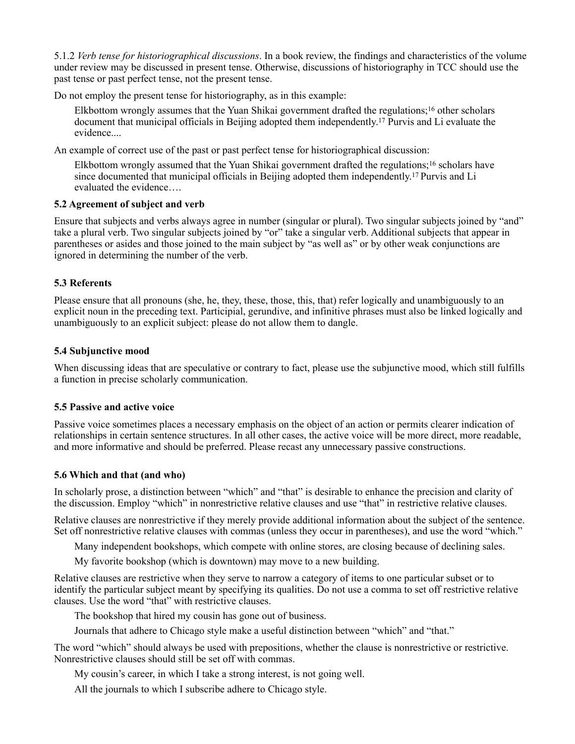5.1.2 *Verb tense for historiographical discussions*. In a book review, the findings and characteristics of the volume under review may be discussed in present tense. Otherwise, discussions of historiography in TCC should use the past tense or past perfect tense, not the present tense.

Do not employ the present tense for historiography, as in this example:

Elkbottom wrongly assumes that the Yuan Shikai government drafted the regulations;16 other scholars document that municipal officials in Beijing adopted them independently.17 Purvis and Li evaluate the evidence....

An example of correct use of the past or past perfect tense for historiographical discussion:

Elkbottom wrongly assumed that the Yuan Shikai government drafted the regulations;16 scholars have since documented that municipal officials in Beijing adopted them independently.17 Purvis and Li evaluated the evidence….

## **5.2 Agreement of subject and verb**

Ensure that subjects and verbs always agree in number (singular or plural). Two singular subjects joined by "and" take a plural verb. Two singular subjects joined by "or" take a singular verb. Additional subjects that appear in parentheses or asides and those joined to the main subject by "as well as" or by other weak conjunctions are ignored in determining the number of the verb.

#### **5.3 Referents**

Please ensure that all pronouns (she, he, they, these, those, this, that) refer logically and unambiguously to an explicit noun in the preceding text. Participial, gerundive, and infinitive phrases must also be linked logically and unambiguously to an explicit subject: please do not allow them to dangle.

#### **5.4 Subjunctive mood**

When discussing ideas that are speculative or contrary to fact, please use the subjunctive mood, which still fulfills a function in precise scholarly communication.

#### **5.5 Passive and active voice**

Passive voice sometimes places a necessary emphasis on the object of an action or permits clearer indication of relationships in certain sentence structures. In all other cases, the active voice will be more direct, more readable, and more informative and should be preferred. Please recast any unnecessary passive constructions.

# **5.6 Which and that (and who)**

In scholarly prose, a distinction between "which" and "that" is desirable to enhance the precision and clarity of the discussion. Employ "which" in nonrestrictive relative clauses and use "that" in restrictive relative clauses.

Relative clauses are nonrestrictive if they merely provide additional information about the subject of the sentence. Set off nonrestrictive relative clauses with commas (unless they occur in parentheses), and use the word "which."

Many independent bookshops, which compete with online stores, are closing because of declining sales.

My favorite bookshop (which is downtown) may move to a new building.

Relative clauses are restrictive when they serve to narrow a category of items to one particular subset or to identify the particular subject meant by specifying its qualities. Do not use a comma to set off restrictive relative clauses. Use the word "that" with restrictive clauses.

The bookshop that hired my cousin has gone out of business.

Journals that adhere to Chicago style make a useful distinction between "which" and "that."

The word "which" should always be used with prepositions, whether the clause is nonrestrictive or restrictive. Nonrestrictive clauses should still be set off with commas.

My cousin's career, in which I take a strong interest, is not going well.

All the journals to which I subscribe adhere to Chicago style.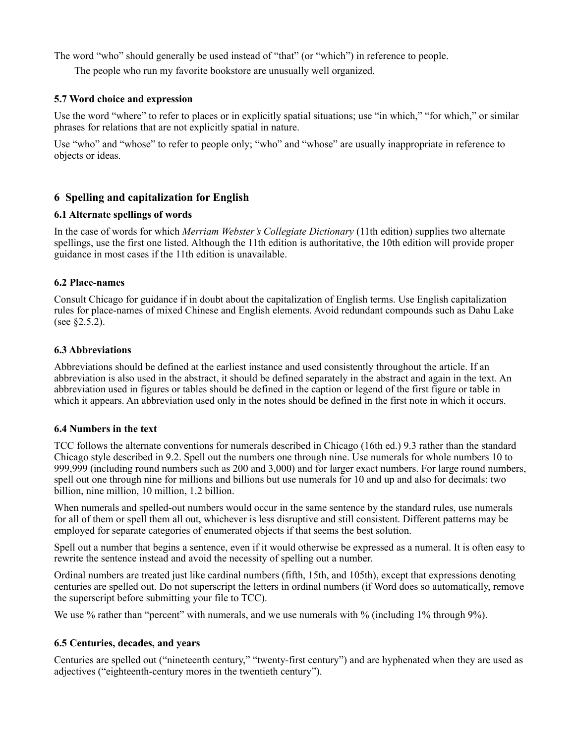The word "who" should generally be used instead of "that" (or "which") in reference to people.

The people who run my favorite bookstore are unusually well organized.

## **5.7 Word choice and expression**

Use the word "where" to refer to places or in explicitly spatial situations; use "in which," "for which," or similar phrases for relations that are not explicitly spatial in nature.

Use "who" and "whose" to refer to people only; "who" and "whose" are usually inappropriate in reference to objects or ideas.

# **6 Spelling and capitalization for English**

# **6.1 Alternate spellings of words**

In the case of words for which *Merriam Webster's Collegiate Dictionary* (11th edition) supplies two alternate spellings, use the first one listed. Although the 11th edition is authoritative, the 10th edition will provide proper guidance in most cases if the 11th edition is unavailable.

# **6.2 Place-names**

Consult Chicago for guidance if in doubt about the capitalization of English terms. Use English capitalization rules for place-names of mixed Chinese and English elements. Avoid redundant compounds such as Dahu Lake (see §2.5.2).

# **6.3 Abbreviations**

Abbreviations should be defined at the earliest instance and used consistently throughout the article. If an abbreviation is also used in the abstract, it should be defined separately in the abstract and again in the text. An abbreviation used in figures or tables should be defined in the caption or legend of the first figure or table in which it appears. An abbreviation used only in the notes should be defined in the first note in which it occurs.

## **6.4 Numbers in the text**

TCC follows the alternate conventions for numerals described in Chicago (16th ed.) 9.3 rather than the standard Chicago style described in 9.2. Spell out the numbers one through nine. Use numerals for whole numbers 10 to 999,999 (including round numbers such as 200 and 3,000) and for larger exact numbers. For large round numbers, spell out one through nine for millions and billions but use numerals for 10 and up and also for decimals: two billion, nine million, 10 million, 1.2 billion.

When numerals and spelled-out numbers would occur in the same sentence by the standard rules, use numerals for all of them or spell them all out, whichever is less disruptive and still consistent. Different patterns may be employed for separate categories of enumerated objects if that seems the best solution.

Spell out a number that begins a sentence, even if it would otherwise be expressed as a numeral. It is often easy to rewrite the sentence instead and avoid the necessity of spelling out a number.

Ordinal numbers are treated just like cardinal numbers (fifth, 15th, and 105th), except that expressions denoting centuries are spelled out. Do not superscript the letters in ordinal numbers (if Word does so automatically, remove the superscript before submitting your file to TCC).

We use % rather than "percent" with numerals, and we use numerals with % (including 1% through 9%).

# **6.5 Centuries, decades, and years**

Centuries are spelled out ("nineteenth century," "twenty-first century") and are hyphenated when they are used as adjectives ("eighteenth-century mores in the twentieth century").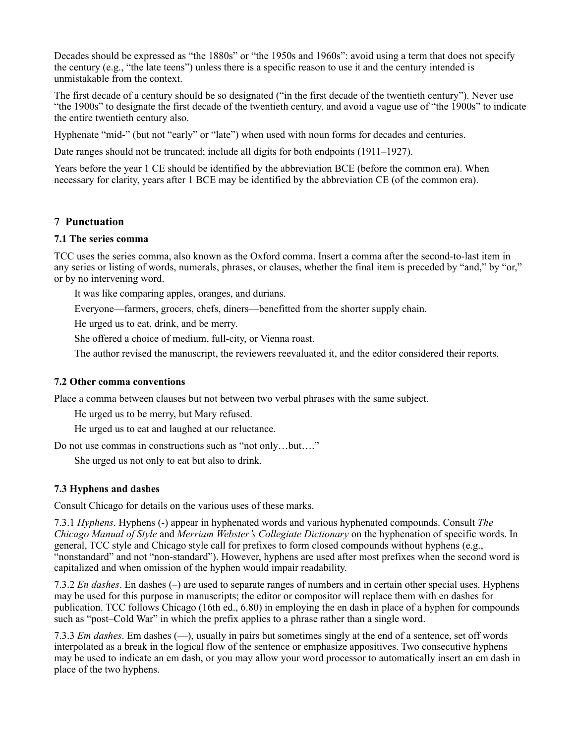Decades should be expressed as "the 1880s" or "the 1950s and 1960s": avoid using a term that does not specify the century (e.g., "the late teens") unless there is a specific reason to use it and the century intended is unmistakable from the context.

The first decade of a century should be so designated ("in the first decade of the twentieth century"). Never use "the 1900s" to designate the first decade of the twentieth century, and avoid a vague use of "the 1900s" to indicate the entire twentieth century also.

Hyphenate "mid-" (but not "early" or "late") when used with noun forms for decades and centuries.

Date ranges should not be truncated; include all digits for both endpoints (1911–1927).

Years before the year 1 CE should be identified by the abbreviation BCE (before the common era). When necessary for clarity, years after 1 BCE may be identified by the abbreviation CE (of the common era).

# **7 Punctuation**

# **7.1 The series comma**

TCC uses the series comma, also known as the Oxford comma. Insert a comma after the second-to-last item in any series or listing of words, numerals, phrases, or clauses, whether the final item is preceded by "and," by "or," or by no intervening word.

It was like comparing apples, oranges, and durians.

Everyone—farmers, grocers, chefs, diners—benefitted from the shorter supply chain.

He urged us to eat, drink, and be merry.

She offered a choice of medium, full-city, or Vienna roast.

The author revised the manuscript, the reviewers reevaluated it, and the editor considered their reports.

## **7.2 Other comma conventions**

Place a comma between clauses but not between two verbal phrases with the same subject.

He urged us to be merry, but Mary refused.

He urged us to eat and laughed at our reluctance.

Do not use commas in constructions such as "not only...but...."

She urged us not only to eat but also to drink.

# **7.3 Hyphens and dashes**

Consult Chicago for details on the various uses of these marks.

7.3.1 *Hyphens*. Hyphens (-) appear in hyphenated words and various hyphenated compounds. Consult *The Chicago Manual of Style* and *Merriam Webster's Collegiate Dictionary* on the hyphenation of specific words. In general, TCC style and Chicago style call for prefixes to form closed compounds without hyphens (e.g., "nonstandard" and not "non-standard"). However, hyphens are used after most prefixes when the second word is capitalized and when omission of the hyphen would impair readability.

7.3.2 *En dashes*. En dashes (–) are used to separate ranges of numbers and in certain other special uses. Hyphens may be used for this purpose in manuscripts; the editor or compositor will replace them with en dashes for publication. TCC follows Chicago (16th ed., 6.80) in employing the en dash in place of a hyphen for compounds such as "post–Cold War" in which the prefix applies to a phrase rather than a single word.

7.3.3 *Em dashes*. Em dashes (—), usually in pairs but sometimes singly at the end of a sentence, set off words interpolated as a break in the logical flow of the sentence or emphasize appositives. Two consecutive hyphens may be used to indicate an em dash, or you may allow your word processor to automatically insert an em dash in place of the two hyphens.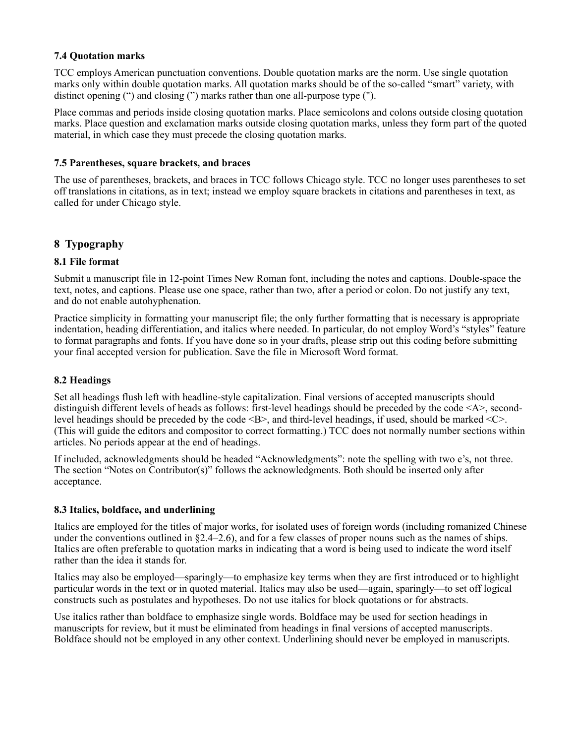## **7.4 Quotation marks**

TCC employs American punctuation conventions. Double quotation marks are the norm. Use single quotation marks only within double quotation marks. All quotation marks should be of the so-called "smart" variety, with distinct opening (") and closing (") marks rather than one all-purpose type (").

Place commas and periods inside closing quotation marks. Place semicolons and colons outside closing quotation marks. Place question and exclamation marks outside closing quotation marks, unless they form part of the quoted material, in which case they must precede the closing quotation marks.

## **7.5 Parentheses, square brackets, and braces**

The use of parentheses, brackets, and braces in TCC follows Chicago style. TCC no longer uses parentheses to set off translations in citations, as in text; instead we employ square brackets in citations and parentheses in text, as called for under Chicago style.

# **8 Typography**

# **8.1 File format**

Submit a manuscript file in 12-point Times New Roman font, including the notes and captions. Double-space the text, notes, and captions. Please use one space, rather than two, after a period or colon. Do not justify any text, and do not enable autohyphenation.

Practice simplicity in formatting your manuscript file; the only further formatting that is necessary is appropriate indentation, heading differentiation, and italics where needed. In particular, do not employ Word's "styles" feature to format paragraphs and fonts. If you have done so in your drafts, please strip out this coding before submitting your final accepted version for publication. Save the file in Microsoft Word format.

# **8.2 Headings**

Set all headings flush left with headline-style capitalization. Final versions of accepted manuscripts should distinguish different levels of heads as follows: first-level headings should be preceded by the code <A>, secondlevel headings should be preceded by the code  $\leq B$ , and third-level headings, if used, should be marked  $\leq C$ . (This will guide the editors and compositor to correct formatting.) TCC does not normally number sections within articles. No periods appear at the end of headings.

If included, acknowledgments should be headed "Acknowledgments": note the spelling with two e's, not three. The section "Notes on Contributor(s)" follows the acknowledgments. Both should be inserted only after acceptance.

# **8.3 Italics, boldface, and underlining**

Italics are employed for the titles of major works, for isolated uses of foreign words (including romanized Chinese under the conventions outlined in §2.4–2.6), and for a few classes of proper nouns such as the names of ships. Italics are often preferable to quotation marks in indicating that a word is being used to indicate the word itself rather than the idea it stands for.

Italics may also be employed—sparingly—to emphasize key terms when they are first introduced or to highlight particular words in the text or in quoted material. Italics may also be used—again, sparingly—to set off logical constructs such as postulates and hypotheses. Do not use italics for block quotations or for abstracts.

Use italics rather than boldface to emphasize single words. Boldface may be used for section headings in manuscripts for review, but it must be eliminated from headings in final versions of accepted manuscripts. Boldface should not be employed in any other context. Underlining should never be employed in manuscripts.